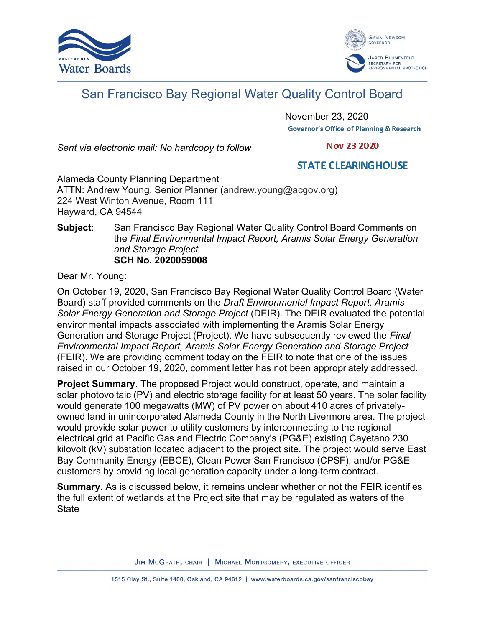



# San Francisco Bay Regional Water Quality Control Board

November 23, 2020 **Governor's Office of Planning & Research** 

Sent via electronic mail: No hardcopy to follow

**Nov 23 2020** 

# **STATE CLEARING HOUSE**

Alameda County Planning Department ATTN: Andrew Young, Senior Planner (andrew.young@acgov.org) 224 West Winton Avenue, Room 111 Hayward, CA 94544

## Subject: San Francisco Bay Regional Water Quality Control Board Comments on the Final Environmental Impact Report, Aramis Solar Energy Generation and Storage Project SCH No. 2020059008

Dear Mr. Young:

On October 19, 2020, San Francisco Bay Regional Water Quality Control Board (Water Board) staff provided comments on the Draft Environmental Impact Report, Aramis Solar Energy Generation and Storage Project (DEIR). The DEIR evaluated the potential environmental impacts associated with implementing the Aramis Solar Energy Generation and Storage Project (Project). We have subsequently reviewed the Final Environmental Impact Report, Aramis Solar Energy Generation and Storage Project (FEIR). We are providing comment today on the FEIR to note that one of the issues raised in our October 19, 2020, comment letter has not been appropriately addressed.

Project Summary. The proposed Project would construct, operate, and maintain a solar photovoltaic (PV) and electric storage facility for at least 50 years. The solar facility would generate 100 megawatts (MW) of PV power on about 410 acres of privatelyowned land in unincorporated Alameda County in the North Livermore area. The project would provide solar power to utility customers by interconnecting to the regional electrical grid at Pacific Gas and Electric Company's (PG&E) existing Cayetano 230 kilovolt (kV) substation located adjacent to the project site. The project would serve East Bay Community Energy (EBCE), Clean Power San Francisco (CPSF), and/or PG&E customers by providing local generation capacity under a long-term contract.

**Summary.** As is discussed below, it remains unclear whether or not the FEIR identifies the full extent of wetlands at the Project site that may be regulated as waters of the **State** 

JIM MCGRATH, CHAIR | MICHAEL MONTGOMERY, EXECUTIVE OFFICER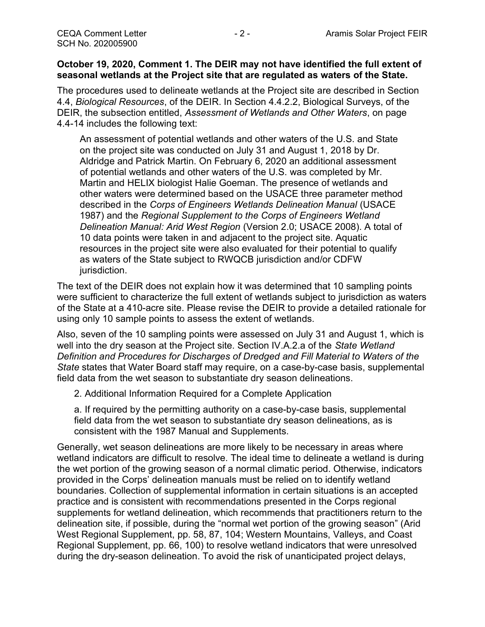## October 19, 2020, Comment 1. The DEIR may not have identified the full extent of seasonal wetlands at the Project site that are regulated as waters of the State.

The procedures used to delineate wetlands at the Project site are described in Section 4.4, Biological Resources, of the DEIR. In Section 4.4.2.2, Biological Surveys, of the DEIR, the subsection entitled, Assessment of Wetlands and Other Waters, on page 4.4-14 includes the following text:

An assessment of potential wetlands and other waters of the U.S. and State on the project site was conducted on July 31 and August 1, 2018 by Dr. Aldridge and Patrick Martin. On February 6, 2020 an additional assessment of potential wetlands and other waters of the U.S. was completed by Mr. Martin and HELIX biologist Halie Goeman. The presence of wetlands and other waters were determined based on the USACE three parameter method described in the Corps of Engineers Wetlands Delineation Manual (USACE 1987) and the Regional Supplement to the Corps of Engineers Wetland Delineation Manual: Arid West Region (Version 2.0; USACE 2008). A total of 10 data points were taken in and adjacent to the project site. Aquatic resources in the project site were also evaluated for their potential to qualify as waters of the State subject to RWQCB jurisdiction and/or CDFW jurisdiction.

The text of the DEIR does not explain how it was determined that 10 sampling points were sufficient to characterize the full extent of wetlands subject to jurisdiction as waters of the State at a 410-acre site. Please revise the DEIR to provide a detailed rationale for using only 10 sample points to assess the extent of wetlands.

Also, seven of the 10 sampling points were assessed on July 31 and August 1, which is well into the dry season at the Project site. Section IV.A.2.a of the State Wetland Definition and Procedures for Discharges of Dredged and Fill Material to Waters of the State states that Water Board staff may require, on a case-by-case basis, supplemental field data from the wet season to substantiate dry season delineations.

2. Additional Information Required for a Complete Application

a. If required by the permitting authority on a case-by-case basis, supplemental field data from the wet season to substantiate dry season delineations, as is consistent with the 1987 Manual and Supplements.

Generally, wet season delineations are more likely to be necessary in areas where wetland indicators are difficult to resolve. The ideal time to delineate a wetland is during the wet portion of the growing season of a normal climatic period. Otherwise, indicators provided in the Corps' delineation manuals must be relied on to identify wetland boundaries. Collection of supplemental information in certain situations is an accepted practice and is consistent with recommendations presented in the Corps regional supplements for wetland delineation, which recommends that practitioners return to the delineation site, if possible, during the "normal wet portion of the growing season" (Arid West Regional Supplement, pp. 58, 87, 104; Western Mountains, Valleys, and Coast Regional Supplement, pp. 66, 100) to resolve wetland indicators that were unresolved during the dry-season delineation. To avoid the risk of unanticipated project delays,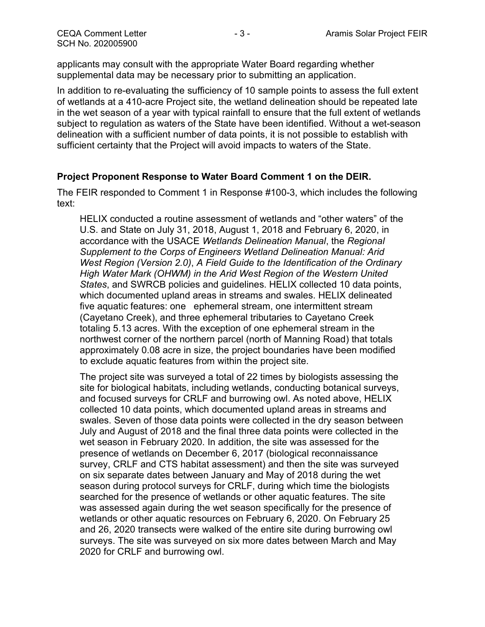applicants may consult with the appropriate Water Board regarding whether supplemental data may be necessary prior to submitting an application.

In addition to re-evaluating the sufficiency of 10 sample points to assess the full extent of wetlands at a 410-acre Project site, the wetland delineation should be repeated late in the wet season of a year with typical rainfall to ensure that the full extent of wetlands subject to regulation as waters of the State have been identified. Without a wet-season delineation with a sufficient number of data points, it is not possible to establish with sufficient certainty that the Project will avoid impacts to waters of the State.

## Project Proponent Response to Water Board Comment 1 on the DEIR.

The FEIR responded to Comment 1 in Response #100-3, which includes the following text:

HELIX conducted a routine assessment of wetlands and "other waters" of the U.S. and State on July 31, 2018, August 1, 2018 and February 6, 2020, in accordance with the USACE Wetlands Delineation Manual, the Regional Supplement to the Corps of Engineers Wetland Delineation Manual: Arid West Region (Version 2.0), A Field Guide to the Identification of the Ordinary High Water Mark (OHWM) in the Arid West Region of the Western United States, and SWRCB policies and guidelines. HELIX collected 10 data points, which documented upland areas in streams and swales. HELIX delineated five aquatic features: one ephemeral stream, one intermittent stream (Cayetano Creek), and three ephemeral tributaries to Cayetano Creek totaling 5.13 acres. With the exception of one ephemeral stream in the northwest corner of the northern parcel (north of Manning Road) that totals approximately 0.08 acre in size, the project boundaries have been modified to exclude aquatic features from within the project site.

The project site was surveyed a total of 22 times by biologists assessing the site for biological habitats, including wetlands, conducting botanical surveys, and focused surveys for CRLF and burrowing owl. As noted above, HELIX collected 10 data points, which documented upland areas in streams and swales. Seven of those data points were collected in the dry season between July and August of 2018 and the final three data points were collected in the wet season in February 2020. In addition, the site was assessed for the presence of wetlands on December 6, 2017 (biological reconnaissance survey, CRLF and CTS habitat assessment) and then the site was surveyed on six separate dates between January and May of 2018 during the wet season during protocol surveys for CRLF, during which time the biologists searched for the presence of wetlands or other aquatic features. The site was assessed again during the wet season specifically for the presence of wetlands or other aquatic resources on February 6, 2020. On February 25 and 26, 2020 transects were walked of the entire site during burrowing owl surveys. The site was surveyed on six more dates between March and May 2020 for CRLF and burrowing owl.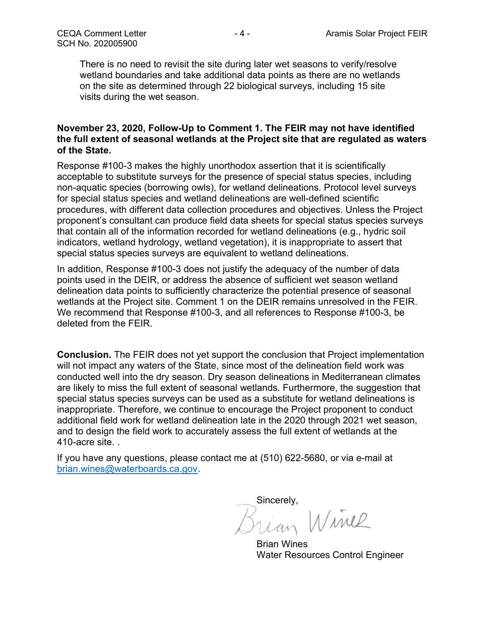There is no need to revisit the site during later wet seasons to verify/resolve wetland boundaries and take additional data points as there are no wetlands on the site as determined through 22 biological surveys, including 15 site visits during the wet season.

## November 23, 2020, Follow-Up to Comment 1. The FEIR may not have identified the full extent of seasonal wetlands at the Project site that are regulated as waters of the State.

Response #100-3 makes the highly unorthodox assertion that it is scientifically acceptable to substitute surveys for the presence of special status species, including non-aquatic species (borrowing owls), for wetland delineations. Protocol level surveys for special status species and wetland delineations are well-defined scientific procedures, with different data collection procedures and objectives. Unless the Project proponent's consultant can produce field data sheets for special status species surveys that contain all of the information recorded for wetland delineations (e.g., hydric soil indicators, wetland hydrology, wetland vegetation), it is inappropriate to assert that special status species surveys are equivalent to wetland delineations.

In addition, Response #100-3 does not justify the adequacy of the number of data points used in the DEIR, or address the absence of sufficient wet season wetland delineation data points to sufficiently characterize the potential presence of seasonal wetlands at the Project site. Comment 1 on the DEIR remains unresolved in the FEIR. We recommend that Response #100-3, and all references to Response #100-3, be deleted from the FEIR.

Conclusion. The FEIR does not yet support the conclusion that Project implementation will not impact any waters of the State, since most of the delineation field work was conducted well into the dry season. Dry season delineations in Mediterranean climates are likely to miss the full extent of seasonal wetlands. Furthermore, the suggestion that special status species surveys can be used as a substitute for wetland delineations is inappropriate. Therefore, we continue to encourage the Project proponent to conduct additional field work for wetland delineation late in the 2020 through 2021 wet season, and to design the field work to accurately assess the full extent of wetlands at the 410-acre site. .

If you have any questions, please contact me at (510) 622-5680, or via e-mail at brian.wines@waterboards.ca.gov.

Sincerely,<br>Brian Winel

Brian Wines Water Resources Control Engineer